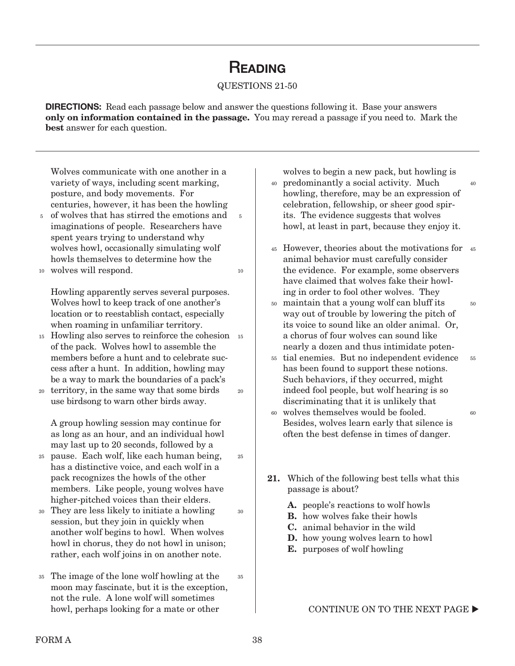# **READING**

#### QUESTIONS 21-50

**DIRECTIONS:** Read each passage below and answer the questions following it. Base your answers **only on information contained in the passage.** You may reread a passage if you need to. Mark the **best** answer for each question.

5

10

25

30

Wolves communicate with one another in a variety of ways, including scent marking, posture, and body movements. For centuries, however, it has been the howling

- of wolves that has stirred the emotions and imaginations of people. Researchers have spent years trying to understand why wolves howl, occasionally simulating wolf howls themselves to determine how the 5
- wolves will respond. 10

Howling apparently serves several purposes. Wolves howl to keep track of one another's location or to reestablish contact, especially when roaming in unfamiliar territory.

- 15 Howling also serves to reinforce the cohesion 15 of the pack. Wolves howl to assemble the members before a hunt and to celebrate success after a hunt. In addition, howling may be a way to mark the boundaries of a pack's
- territory, in the same way that some birds use birdsong to warn other birds away. 20 20

A group howling session may continue for as long as an hour, and an individual howl may last up to 20 seconds, followed by a

- pause. Each wolf, like each human being, 25 has a distinctive voice, and each wolf in a pack recognizes the howls of the other members. Like people, young wolves have higher-pitched voices than their elders.
- They are less likely to initiate a howling 30 session, but they join in quickly when another wolf begins to howl. When wolves howl in chorus, they do not howl in unison; rather, each wolf joins in on another note.
- The image of the lone wolf howling at the 35 moon may fascinate, but it is the exception, not the rule. A lone wolf will sometimes howl, perhaps looking for a mate or other 35

wolves to begin a new pack, but howling is

40

60

- predominantly a social activity. Much 40 howling, therefore, may be an expression of celebration, fellowship, or sheer good spirits. The evidence suggests that wolves howl, at least in part, because they enjoy it.
- 45 However, theories about the motivations for 45 animal behavior must carefully consider the evidence. For example, some observers have claimed that wolves fake their howling in order to fool other wolves. They 50
- maintain that a young wolf can bluff its 50 way out of trouble by lowering the pitch of its voice to sound like an older animal. Or, a chorus of four wolves can sound like nearly a dozen and thus intimidate poten-
- tial enemies. But no independent evidence 55 has been found to support these notions. Such behaviors, if they occurred, might indeed fool people, but wolf hearing is so discriminating that it is unlikely that 55
- wolves themselves would be fooled. 60 Besides, wolves learn early that silence is often the best defense in times of danger.
- **21.** Which of the following best tells what this passage is about?
	- **A.** people's reactions to wolf howls
	- **B.** how wolves fake their howls
	- **C.** animal behavior in the wild
	- **D.** how young wolves learn to howl
	- **E.** purposes of wolf howling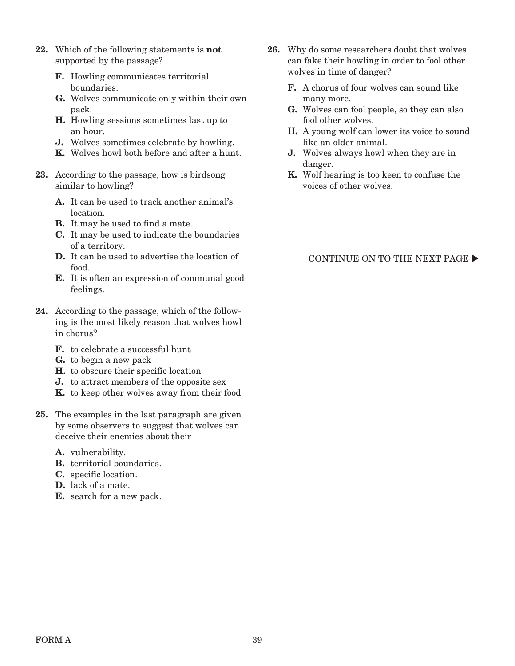- **22.** Which of the following statements is **not**  supported by the passage?
	- **F.** Howling communicates territorial boundaries.
	- **G.** Wolves communicate only within their own pack.
	- **H.** Howling sessions sometimes last up to an hour.
	- **J.** Wolves sometimes celebrate by howling.
	- **K.** Wolves howl both before and after a hunt.
- **23.** According to the passage, how is birdsong similar to howling?
	- **A.** It can be used to track another animal's location.
	- **B.** It may be used to find a mate.
	- **C.** It may be used to indicate the boundaries of a territory.
	- **D.** It can be used to advertise the location of food.
	- **E.** It is often an expression of communal good feelings.
- **24.** According to the passage, which of the following is the most likely reason that wolves howl in chorus?
	- **F.** to celebrate a successful hunt
	- **G.** to begin a new pack
	- **H.** to obscure their specific location
	- **J.** to attract members of the opposite sex
	- **K.** to keep other wolves away from their food
- **25.** The examples in the last paragraph are given by some observers to suggest that wolves can deceive their enemies about their
	- **A.** vulnerability.
	- **B.** territorial boundaries.
	- **C.** specific location.
	- **D.** lack of a mate.
	- **E.** search for a new pack.
- **26.** Why do some researchers doubt that wolves can fake their howling in order to fool other wolves in time of danger?
	- **F.** A chorus of four wolves can sound like many more.
	- **G.** Wolves can fool people, so they can also fool other wolves.
	- **H.** A young wolf can lower its voice to sound like an older animal.
	- **J.** Wolves always howl when they are in danger.
	- **K.** Wolf hearing is too keen to confuse the voices of other wolves.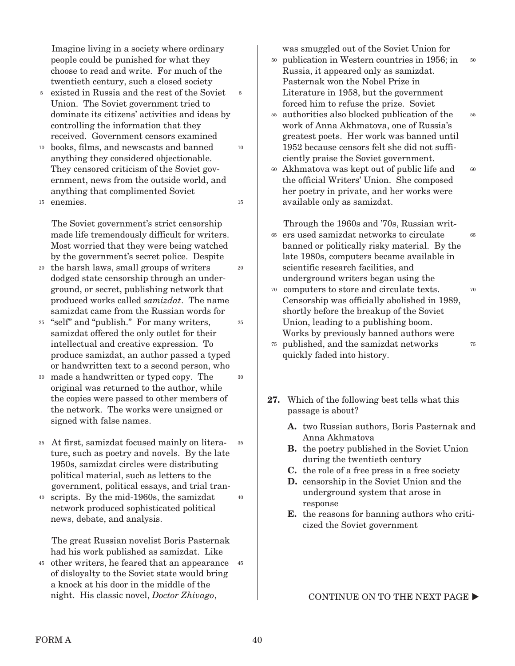Imagine living in a society where ordinary people could be punished for what they choose to read and write. For much of the twentieth century, such a closed society

5

10

15

- <sup>5</sup> existed in Russia and the rest of the Soviet Union. The Soviet government tried to dominate its citizens' activities and ideas by controlling the information that they received. Government censors examined
- books, films, and newscasts and banned 10 anything they considered objectionable. They censored criticism of the Soviet government, news from the outside world, and anything that complimented Soviet
- enemies. 15

The Soviet government's strict censorship made life tremendously difficult for writers. Most worried that they were being watched by the government's secret police. Despite

- the harsh laws, small groups of writers 20 dodged state censorship through an underground, or secret, publishing network that produced works called samizdat. The name samizdat came from the Russian words for  $20^{-1}$
- "self" and "publish." For many writers, 25 samizdat offered the only outlet for their intellectual and creative expression. To produce samizdat, an author passed a typed or handwritten text to a second person, who 25
- made a handwritten or typed copy. The 30 original was returned to the author, while the copies were passed to other members of the network. The works were unsigned or signed with false names. 30
- At first, samizdat focused mainly on litera-35 ture, such as poetry and novels. By the late 1950s, samizdat circles were distributing political material, such as letters to the government, political essays, and trial tran-35
- scripts. By the mid-1960s, the samizdat network produced sophisticated political news, debate, and analysis. 40 40

The great Russian novelist Boris Pasternak had his work published as samizdat. Like

other writers, he feared that an appearance 45 45 of disloyalty to the Soviet state would bring a knock at his door in the middle of the night. His classic novel, Doctor Zhivago,

was smuggled out of the Soviet Union for

- publication in Western countries in 1956; in 50 Russia, it appeared only as samizdat. Pasternak won the Nobel Prize in Literature in 1958, but the government forced him to refuse the prize. Soviet 50
- authorities also blocked publication of the 55 work of Anna Akhmatova, one of Russia's greatest poets. Her work was banned until 1952 because censors felt she did not sufficiently praise the Soviet government.

55

Akhmatova was kept out of public life and the official Writers' Union. She composed her poetry in private, and her works were available only as samizdat. 60 60

Through the 1960s and '70s, Russian writers used samizdat networks to circulate 65 banned or politically risky material. By the late 1980s, computers became available in scientific research facilities, and underground writers began using the 65

- computers to store and circulate texts. 70 Censorship was officially abolished in 1989, shortly before the breakup of the Soviet Union, leading to a publishing boom. Works by previously banned authors were 70 75
- published, and the samizdat networks 75 quickly faded into history.
- **27.** Which of the following best tells what this passage is about?
	- **A.** two Russian authors, Boris Pasternak and Anna Akhmatova
	- **B.** the poetry published in the Soviet Union during the twentieth century
	- **C.** the role of a free press in a free society
	- **D.** censorship in the Soviet Union and the underground system that arose in response
	- **E.** the reasons for banning authors who criticized the Soviet government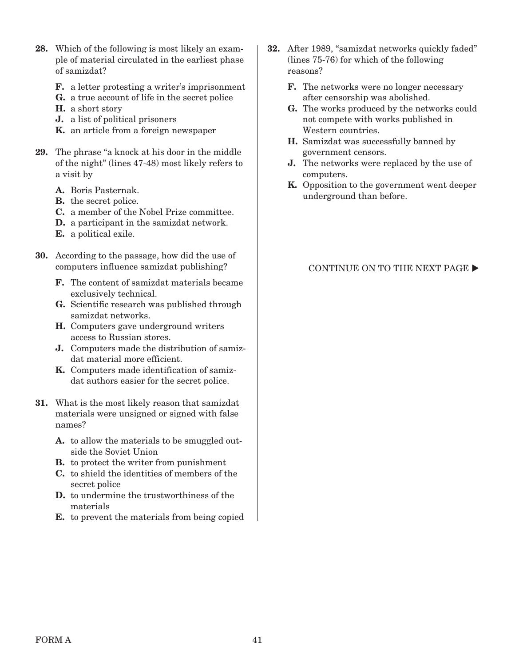- **28.** Which of the following is most likely an example of material circulated in the earliest phase of samizdat?
	- **F.** a letter protesting a writer's imprisonment
	- **G.** a true account of life in the secret police
	- **H.** a short story
	- **J.** a list of political prisoners
	- **K.** an article from a foreign newspaper
- **29.** The phrase "a knock at his door in the middle of the night" (lines 47-48) most likely refers to a visit by
	- **A.** Boris Pasternak.
	- **B.** the secret police.
	- **C.** a member of the Nobel Prize committee.
	- **D.** a participant in the samizdat network.
	- **E.** a political exile.
- **30.** According to the passage, how did the use of computers influence samizdat publishing?
	- **F.** The content of samizdat materials became exclusively technical.
	- **G.** Scientific research was published through samizdat networks.
	- **H.** Computers gave underground writers access to Russian stores.
	- **J.** Computers made the distribution of samizdat material more efficient.
	- **K.** Computers made identification of samizdat authors easier for the secret police.
- **31.** What is the most likely reason that samizdat materials were unsigned or signed with false names?
	- **A.** to allow the materials to be smuggled outside the Soviet Union
	- **B.** to protect the writer from punishment
	- **C.** to shield the identities of members of the secret police
	- **D.** to undermine the trustworthiness of the materials
	- **E.** to prevent the materials from being copied
- **32.** After 1989, "samizdat networks quickly faded" (lines 75-76) for which of the following reasons?
	- **F.** The networks were no longer necessary after censorship was abolished.
	- **G.** The works produced by the networks could not compete with works published in Western countries.
	- **H.** Samizdat was successfully banned by government censors.
	- **J.** The networks were replaced by the use of computers.
	- **K.** Opposition to the government went deeper underground than before.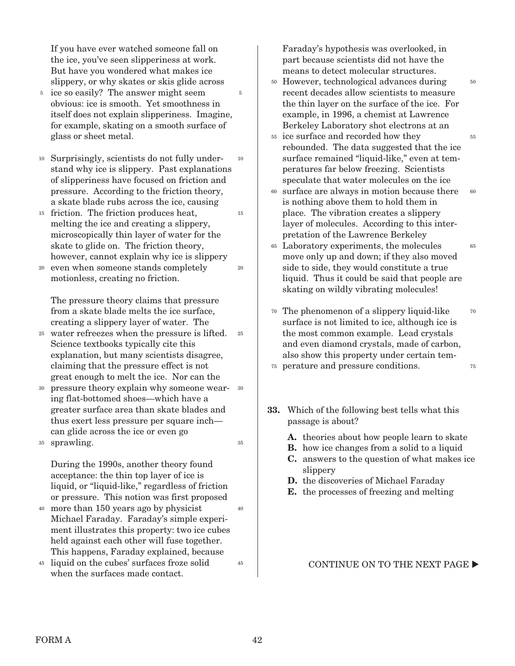If you have ever watched someone fall on the ice, you've seen slipperiness at work. But have you wondered what makes ice slippery, or why skates or skis glide across

- <sup>5</sup> ice so easily? The answer might seem obvious: ice is smooth. Yet smoothness in itself does not explain slipperiness. Imagine, for example, skating on a smooth surface of glass or sheet metal. 5
- Surprisingly, scientists do not fully under-10 stand why ice is slippery. Past explanations of slipperiness have focused on friction and pressure. According to the friction theory, a skate blade rubs across the ice, causing 10
- <sup>15</sup> friction. The friction produces heat, melting the ice and creating a slippery, microscopically thin layer of water for the skate to glide on. The friction theory, however, cannot explain why ice is slippery
- even when someone stands completely motionless, creating no friction. 20

The pressure theory claims that pressure from a skate blade melts the ice surface, creating a slippery layer of water. The

- water refreezes when the pressure is lifted. 25 Science textbooks typically cite this explanation, but many scientists disagree, claiming that the pressure effect is not great enough to melt the ice. Nor can the 25
- pressure theory explain why someone wear-30 ing flat-bottomed shoes—which have a greater surface area than skate blades and thus exert less pressure per square inch can glide across the ice or even go 30 35
- sprawling. 35

During the 1990s, another theory found acceptance: the thin top layer of ice is liquid, or "liquid-like," regardless of friction or pressure. This notion was first proposed

- more than 150 years ago by physicist 40 Michael Faraday. Faraday's simple experiment illustrates this property: two ice cubes held against each other will fuse together. This happens, Faraday explained, because
- liquid on the cubes' surfaces froze solid 45 when the surfaces made contact. 45

Faraday's hypothesis was overlooked, in part because scientists did not have the means to detect molecular structures.

However, technological advances during 50 recent decades allow scientists to measure the thin layer on the surface of the ice. For example, in 1996, a chemist at Lawrence Berkeley Laboratory shot electrons at an

50

55

60

- <sup>55</sup> ice surface and recorded how they rebounded. The data suggested that the ice surface remained "liquid-like," even at temperatures far below freezing. Scientists speculate that water molecules on the ice
- surface are always in motion because there is nothing above them to hold them in place. The vibration creates a slippery layer of molecules. According to this interpretation of the Lawrence Berkeley 60
- Laboratory experiments, the molecules 65 move only up and down; if they also moved side to side, they would constitute a true liquid. Thus it could be said that people are skating on wildly vibrating molecules! 65
- The phenomenon of a slippery liquid-like 70 surface is not limited to ice, although ice is the most common example. Lead crystals and even diamond crystals, made of carbon, also show this property under certain tem-70 75
- perature and pressure conditions. 75
- **33.** Which of the following best tells what this passage is about?
	- **A.** theories about how people learn to skate
	- **B.** how ice changes from a solid to a liquid
	- **C.** answers to the question of what makes ice slippery
	- **D.** the discoveries of Michael Faraday
	- **E.** the processes of freezing and melting

#### CONTINUE ON TO THE NEXT PAGE  $\blacktriangleright$

40

15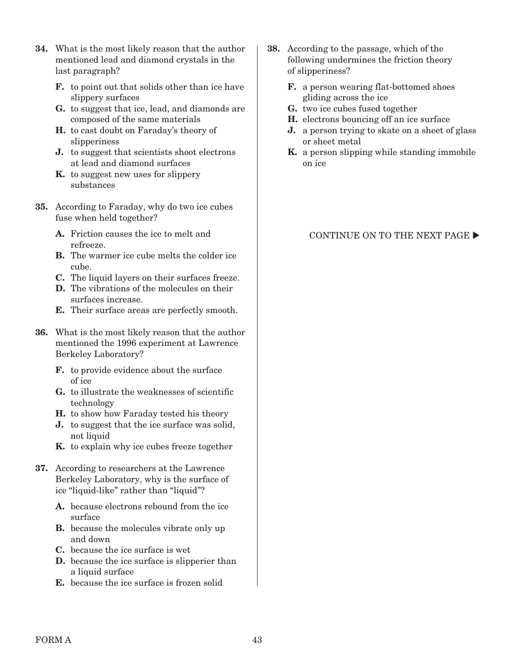- **34.** What is the most likely reason that the author mentioned lead and diamond crystals in the last paragraph?
	- **F.** to point out that solids other than ice have slippery surfaces
	- **G.** to suggest that ice, lead, and diamonds are composed of the same materials
	- **H.** to cast doubt on Faraday's theory of slipperiness
	- **J.** to suggest that scientists shoot electrons at lead and diamond surfaces
	- **K.** to suggest new uses for slippery substances
- **35.** According to Faraday, why do two ice cubes fuse when held together?
	- **A.** Friction causes the ice to melt and refreeze.
	- **B.** The warmer ice cube melts the colder ice cube.
	- **C.** The liquid layers on their surfaces freeze.
	- **D.** The vibrations of the molecules on their surfaces increase.
	- **E.** Their surface areas are perfectly smooth.
- **36.** What is the most likely reason that the author mentioned the 1996 experiment at Lawrence Berkeley Laboratory?
	- **F.** to provide evidence about the surface of ice
	- **G.** to illustrate the weaknesses of scientific technology
	- **H.** to show how Faraday tested his theory
	- **J.** to suggest that the ice surface was solid, not liquid
	- **K.** to explain why ice cubes freeze together
- **37.** According to researchers at the Lawrence Berkeley Laboratory, why is the surface of ice "liquid-like" rather than "liquid"?
	- **A.** because electrons rebound from the ice surface
	- **B.** because the molecules vibrate only up and down
	- **C.** because the ice surface is wet
	- **D.** because the ice surface is slipperier than a liquid surface
	- **E.** because the ice surface is frozen solid
- **38.** According to the passage, which of the following undermines the friction theory of slipperiness?
	- **F.** a person wearing flat-bottomed shoes gliding across the ice
	- **G.** two ice cubes fused together
	- **H.** electrons bouncing off an ice surface
	- **J.** a person trying to skate on a sheet of glass or sheet metal
	- **K.** a person slipping while standing immobile on ice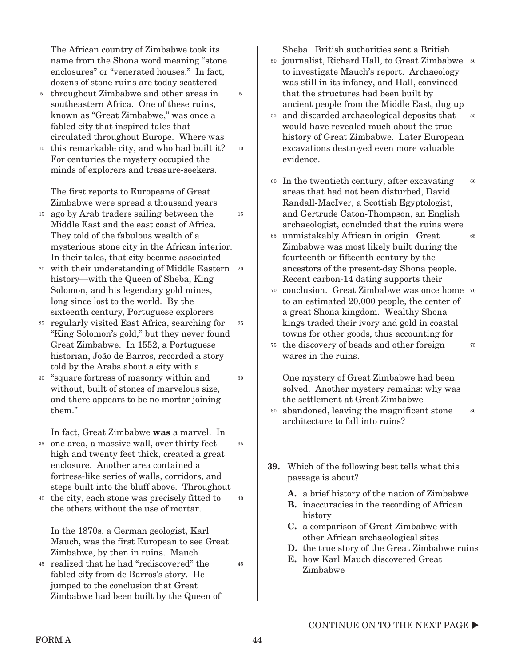The African country of Zimbabwe took its name from the Shona word meaning "stone enclosures" or "venerated houses." In fact, dozens of stone ruins are today scattered

5

10

30

- <sup>5</sup> throughout Zimbabwe and other areas in southeastern Africa. One of these ruins, known as "Great Zimbabwe," was once a fabled city that inspired tales that circulated throughout Europe. Where was
- <sup>10</sup> this remarkable city, and who had built it? For centuries the mystery occupied the minds of explorers and treasure-seekers.

The first reports to Europeans of Great Zimbabwe were spread a thousand years

- <sup>15</sup> ago by Arab traders sailing between the Middle East and the east coast of Africa. They told of the fabulous wealth of a mysterious stone city in the African interior. In their tales, that city became associated 15
- 20 with their understanding of Middle Eastern 20 history—with the Queen of Sheba, King Solomon, and his legendary gold mines, long since lost to the world. By the sixteenth century, Portuguese explorers
- regularly visited East Africa, searching for 25 "King Solomon's gold," but they never found Great Zimbabwe. In 1552, a Portuguese historian, João de Barros, recorded a story told by the Arabs about a city with a 25
- "square fortress of masonry within and 30 without, built of stones of marvelous size, and there appears to be no mortar joining them."

In fact, Great Zimbabwe **was** a marvel. In

- one area, a massive wall, over thirty feet 35 high and twenty feet thick, created a great enclosure. Another area contained a fortress-like series of walls, corridors, and steps built into the bluff above. Throughout 35
- the city, each stone was precisely fitted to 40 the others without the use of mortar. 40

In the 1870s, a German geologist, Karl Mauch, was the first European to see Great Zimbabwe, by then in ruins. Mauch

<sup>45</sup> realized that he had "rediscovered" the fabled city from de Barros's story. He jumped to the conclusion that Great Zimbabwe had been built by the Queen of Sheba. British authorities sent a British

- <sup>50</sup> journalist, Richard Hall, to Great Zimbabwe 50 to investigate Mauch's report. Archaeology was still in its infancy, and Hall, convinced that the structures had been built by ancient people from the Middle East, dug up
- and discarded archaeological deposits that 55 would have revealed much about the true history of Great Zimbabwe. Later European excavations destroyed even more valuable evidence. 55
- In the twentieth century, after excavating 60 areas that had not been disturbed, David Randall-MacIver, a Scottish Egyptologist, and Gertrude Caton-Thompson, an English archaeologist, concluded that the ruins were  $60$
- unmistakably African in origin. Great 65 Zimbabwe was most likely built during the fourteenth or fifteenth century by the ancestors of the present-day Shona people. Recent carbon-14 dating supports their 65
- 70 conclusion. Great Zimbabwe was once home 70 to an estimated 20,000 people, the center of a great Shona kingdom. Wealthy Shona kings traded their ivory and gold in coastal towns for other goods, thus accounting for
- <sup>75</sup> the discovery of beads and other foreign wares in the ruins. 75

One mystery of Great Zimbabwe had been solved. Another mystery remains: why was the settlement at Great Zimbabwe

- abandoned, leaving the magnificent stone 80 architecture to fall into ruins? 80
- **39.** Which of the following best tells what this passage is about?
	- **A.** a brief history of the nation of Zimbabwe
	- **B.** inaccuracies in the recording of African history
	- **C.** a comparison of Great Zimbabwe with other African archaeological sites
	- **D.** the true story of the Great Zimbabwe ruins
	- **E.** how Karl Mauch discovered Great Zimbabwe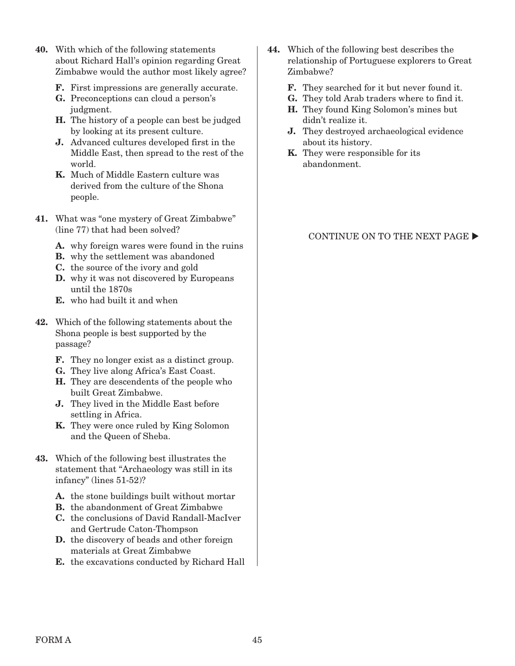- **40.** With which of the following statements about Richard Hall's opinion regarding Great Zimbabwe would the author most likely agree?
	- **F.** First impressions are generally accurate.
	- **G.** Preconceptions can cloud a person's judgment.
	- **H.** The history of a people can best be judged by looking at its present culture.
	- **J.** Advanced cultures developed first in the Middle East, then spread to the rest of the world.
	- **K.** Much of Middle Eastern culture was derived from the culture of the Shona people.
- **41.** What was "one mystery of Great Zimbabwe" (line 77) that had been solved?
	- **A.** why foreign wares were found in the ruins
	- **B.** why the settlement was abandoned
	- **C.** the source of the ivory and gold
	- **D.** why it was not discovered by Europeans until the 1870s
	- **E.** who had built it and when
- **42.** Which of the following statements about the Shona people is best supported by the passage?
	- **F.** They no longer exist as a distinct group.
	- **G.** They live along Africa's East Coast.
	- **H.** They are descendents of the people who built Great Zimbabwe.
	- **J.** They lived in the Middle East before settling in Africa.
	- **K.** They were once ruled by King Solomon and the Queen of Sheba.
- **43.** Which of the following best illustrates the statement that "Archaeology was still in its infancy" (lines 51-52)?
	- **A.** the stone buildings built without mortar
	- **B.** the abandonment of Great Zimbabwe
	- **C.** the conclusions of David Randall-MacIver and Gertrude Caton-Thompson
	- **D.** the discovery of beads and other foreign materials at Great Zimbabwe
	- **E.** the excavations conducted by Richard Hall
- **44.** Which of the following best describes the relationship of Portuguese explorers to Great Zimbabwe?
	- **F.** They searched for it but never found it.
	- **G.** They told Arab traders where to find it.
	- **H.** They found King Solomon's mines but didn't realize it.
	- **J.** They destroyed archaeological evidence about its history.
	- **K.** They were responsible for its abandonment.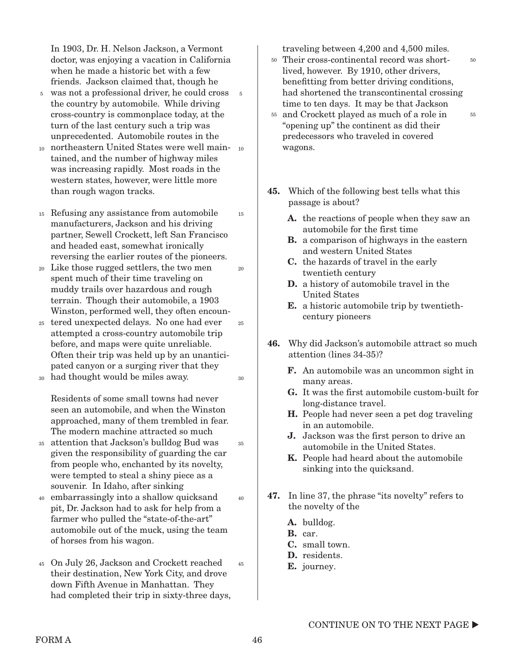In 1903, Dr. H. Nelson Jackson, a Vermont doctor, was enjoying a vacation in California when he made a historic bet with a few friends. Jackson claimed that, though he

- was not a professional driver, he could cross 5 5 the country by automobile. While driving cross-country is commonplace today, at the turn of the last century such a trip was unprecedented. Automobile routes in the
- 10 northeastern United States were well main- 10 tained, and the number of highway miles was increasing rapidly. Most roads in the western states, however, were little more than rough wagon tracks.
- Refusing any assistance from automobile 15 manufacturers, Jackson and his driving partner, Sewell Crockett, left San Francisco and headed east, somewhat ironically reversing the earlier routes of the pioneers. 15
- Like those rugged settlers, the two men 20 spent much of their time traveling on muddy trails over hazardous and rough terrain. Though their automobile, a 1903 Winston, performed well, they often encoun-
- tered unexpected delays. No one had ever 25 attempted a cross-country automobile trip before, and maps were quite unreliable. Often their trip was held up by an unanticipated canyon or a surging river that they
- had thought would be miles away. 30

Residents of some small towns had never seen an automobile, and when the Winston approached, many of them trembled in fear. The modern machine attracted so much

- attention that Jackson's bulldog Bud was 35 given the responsibility of guarding the car from people who, enchanted by its novelty, were tempted to steal a shiny piece as a souvenir. In Idaho, after sinking
- embarrassingly into a shallow quicksand pit, Dr. Jackson had to ask for help from a farmer who pulled the "state-of-the-art" automobile out of the muck, using the team of horses from his wagon. 40
- On July 26, Jackson and Crockett reached 45 their destination, New York City, and drove down Fifth Avenue in Manhattan. They had completed their trip in sixty-three days, 45

traveling between 4,200 and 4,500 miles.

Their cross-continental record was short-50 lived, however. By 1910, other drivers, benefitting from better driving conditions, had shortened the transcontinental crossing time to ten days. It may be that Jackson

50

55

- <sup>55</sup> and Crockett played as much of a role in "opening up" the continent as did their predecessors who traveled in covered wagons.
- **45.** Which of the following best tells what this passage is about?
	- **A.** the reactions of people when they saw an automobile for the first time
	- **B.** a comparison of highways in the eastern and western United States
	- **C.** the hazards of travel in the early twentieth century
	- **D.** a history of automobile travel in the United States
	- **E.** a historic automobile trip by twentiethcentury pioneers
- **46.** Why did Jackson's automobile attract so much attention (lines 34-35)?
	- **F.** An automobile was an uncommon sight in many areas.
	- **G.** It was the first automobile custom-built for long-distance travel.
	- **H.** People had never seen a pet dog traveling in an automobile.
	- **J.** Jackson was the first person to drive an automobile in the United States.
	- **K.** People had heard about the automobile sinking into the quicksand.
- **47.** In line 37, the phrase "its novelty" refers to the novelty of the
	- **A.** bulldog.
	- **B.** car.
	- **C.** small town.
	- **D.** residents.
	- **E.** journey.

 $20^{-1}$ 

25

30

35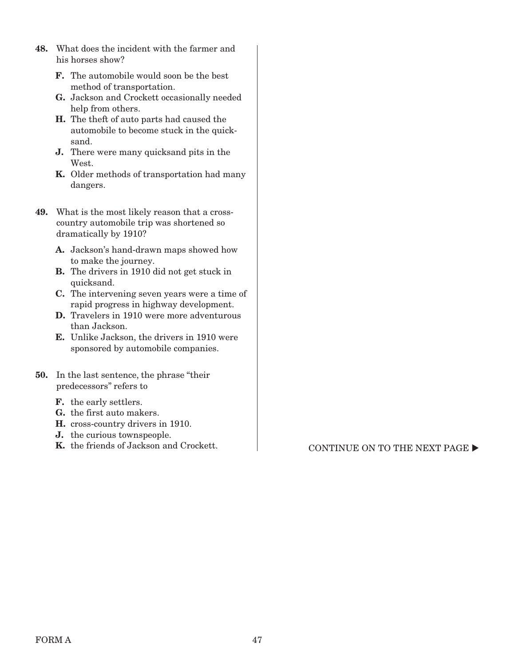- **48.** What does the incident with the farmer and his horses show?
	- **F.** The automobile would soon be the best method of transportation.
	- **G.** Jackson and Crockett occasionally needed help from others.
	- **H.** The theft of auto parts had caused the automobile to become stuck in the quicksand.
	- **J.** There were many quicksand pits in the West.
	- **K.** Older methods of transportation had many dangers.
- **49.** What is the most likely reason that a crosscountry automobile trip was shortened so dramatically by 1910?
	- **A.** Jackson's hand-drawn maps showed how to make the journey.
	- **B.** The drivers in 1910 did not get stuck in quicksand.
	- **C.** The intervening seven years were a time of rapid progress in highway development.
	- **D.** Travelers in 1910 were more adventurous than Jackson.
	- **E.** Unlike Jackson, the drivers in 1910 were sponsored by automobile companies.
- **50.** In the last sentence, the phrase "their predecessors" refers to
	- **F.** the early settlers.
	- **G.** the first auto makers.
	- **H.** cross-country drivers in 1910.
	- **J.** the curious townspeople.
	- **K.** the friends of Jackson and Crockett. CONTINUE ON TO THE NEXT PAGE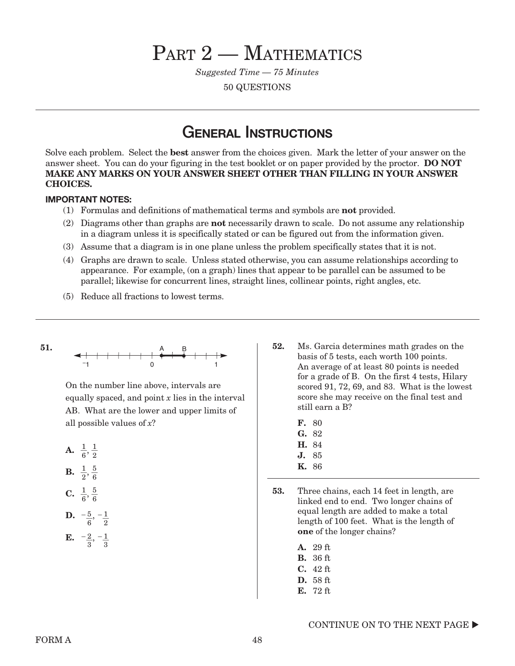# PART 2 – MATHEMATICS

Suggested Time — 75 Minutes

50 QUESTIONS

# **GENERAL INSTRUCTIONS**

Solve each problem. Select the **best** answer from the choices given. Mark the letter of your answer on the answer sheet. You can do your figuring in the test booklet or on paper provided by the proctor. **DO NOT MAKE ANY MARKS ON YOUR ANSWER SHEET OTHER THAN FILLING IN YOUR ANSWER CHOICES.**

#### **IMPORTANT NOTES:**

- (1) Formulas and definitions of mathematical terms and symbols are **not** provided.
- (2) Diagrams other than graphs are **not** necessarily drawn to scale. Do not assume any relationship in a diagram unless it is specifically stated or can be figured out from the information given.
- (3) Assume that a diagram is in one plane unless the problem specifically states that it is not.
- (4) Graphs are drawn to scale. Unless stated otherwise, you can assume relationships according to appearance. For example, (on a graph) lines that appear to be parallel can be assumed to be parallel; likewise for concurrent lines, straight lines, collinear points, right angles, etc.
- (5) Reduce all fractions to lowest terms.

51. 
$$
\begin{array}{c|c|c|c|c|c|c|c|c} \n\hline\n & & & A & B & \\
\hline\n & & -1 & & \\
\hline\n & & & 0 & & 1\n\end{array}
$$

On the number line above, intervals are equally spaced, and point  $x$  lies in the interval AB. What are the lower and upper limits of all possible values of  $x$ ?

**A.** 
$$
\frac{1}{6}, \frac{1}{2}
$$
  
\n**B.**  $\frac{1}{2}, \frac{5}{6}$   
\n**C.**  $\frac{1}{6}, \frac{5}{6}$   
\n**D.**  $-\frac{5}{6}, -\frac{1}{2}$ 

**E.** 
$$
-\frac{2}{3}, -\frac{1}{3}
$$

- **52.** Ms. Garcia determines math grades on the basis of 5 tests, each worth 100 points. An average of at least 80 points is needed for a grade of B. On the first 4 tests, Hilary scored 91, 72, 69, and 83. What is the lowest score she may receive on the final test and still earn a B?
	- **F.** 80
	- **G.** 82
	- **H.** 84
	- **J.** 85
	- **K.** 86
- **53.** Three chains, each 14 feet in length, are linked end to end. Two longer chains of equal length are added to make a total length of 100 feet. What is the length of **one** of the longer chains?
	- **A.** 29 ft
	- **B.** 36 ft
	- **C.** 42 ft
	- **D.** 58 ft
	- **E.** 72 ft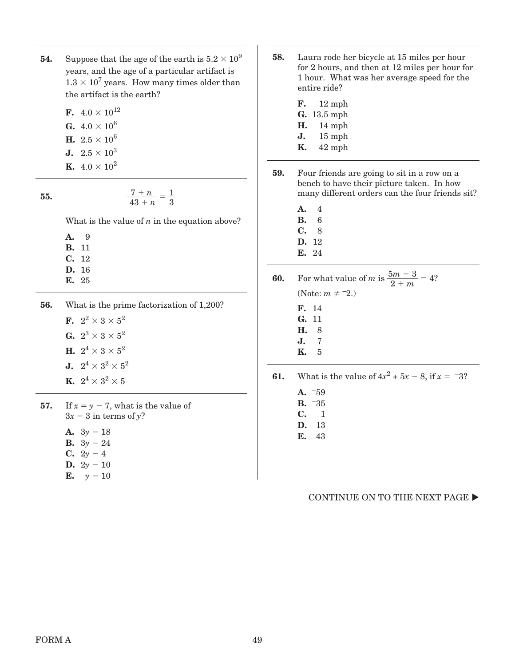- **54.** Suppose that the age of the earth is  $5.2 \times 10^9$ years, and the age of a particular artifact is  $1.3 \times 10^7$  years. How many times older than the artifact is the earth?
	- **F.**  $4.0 \times 10^{12}$ **G.**  $4.0 \times 10^6$ **H.**  $2.5 \times 10^6$ **J.**  $2.5 \times 10^3$ **K.**  $4.0 \times 10^2$

**55.** 
$$
\frac{7+n}{43+n} = \frac{1}{3}
$$

What is the value of  $n$  in the equation above?

**A.** 9

- **B.** 11
- **C.** 12
- **D.** 16
- **E.** 25

**56.** What is the prime factorization of 1,200?

**F.**  $2^2 \times 3 \times 5^2$ **G.**  $2^3 \times 3 \times 5^2$ **H.**  $2^4 \times 3 \times 5^2$ **J.**  $2^4 \times 3^2 \times 5^2$ **K.**  $2^4 \times 3^2 \times 5$ 

**57.** If  $x = y - 7$ , what is the value of  $3x - 3$  in terms of y?

**A.**  $3y - 18$ 

- **B.**  $3y 24$
- **C.**  $2y 4$
- **D.**  $2y 10$
- **E.**  $y 10$
- **58.** Laura rode her bicycle at 15 miles per hour for 2 hours, and then at 12 miles per hour for 1 hour. What was her average speed for the entire ride?
	- **F.** 12 mph
	- **G.** 13.5 mph
	- **H.** 14 mph
	- **J.** 15 mph
	- **K.** 42 mph
- **59.** Four friends are going to sit in a row on a bench to have their picture taken. In how many different orders can the four friends sit?
	- **A.** 4
	- **B.** 6
	- **C.** 8
	- **D.** 12 **E.** 24

**60.** For what value of *m* is  $\frac{5m - 3}{2 + m} = 4$ ? (Note:  $m \neq -2$ .)

- **F.** 14
- **G.** 11 **H.** 8
- **J.** 7
- **K.** 5

**61.** What is the value of  $4x^2 + 5x - 8$ , if  $x = -3$ ?

- **A.** -59 **B.** -35
- **C.** 1
- **D.** 13 **E.** 43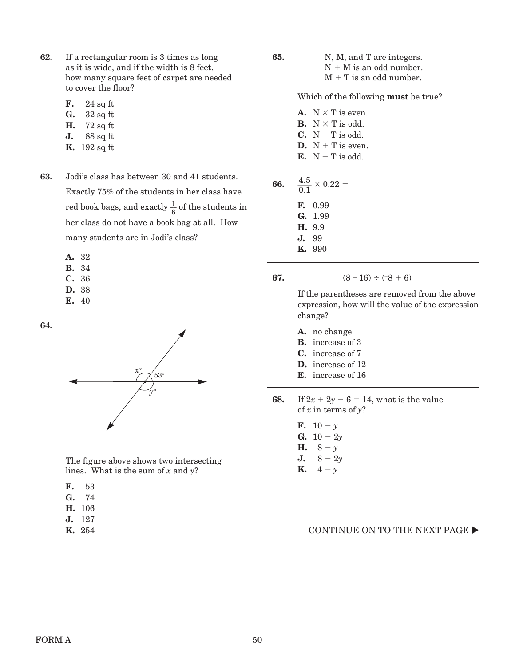- **62.** If a rectangular room is 3 times as long as it is wide, and if the width is 8 feet, how many square feet of carpet are needed to cover the floor?
	- **F.** 24 sq ft
	- **G.** 32 sq ft
	- **H.** 72 sq ft
	- **J.** 88 sq ft
	- **K.** 192 sq ft
- **63.** Jodi's class has between 30 and 41 students. Exactly 75% of the students in her class have red book bags, and exactly  $\frac{1}{6}$  of the students in her class do not have a book bag at all. How many students are in Jodi's class?
	- **A.** 32
	- **B.** 34
	- **C.** 36
	- **D.** 38
	- **E.** 40

**64.**

 $\overbrace{ }^{x^{\circ}}\overbrace{ }^{53^{\circ}}$ y°

 The figure above shows two intersecting lines. What is the sum of  $x$  and  $y$ ?

- **F.** 53
- **G.** 74
- **H.** 106
- **J.** 127
- **K.** 254

**65.** N, M, and T are integers.  $N + M$  is an odd number.  $M + T$  is an odd number.

Which of the following **must** be true?

**A.**  $N \times T$  is even. **B.**  $N \times T$  is odd. **C.**  $N + T$  is odd. **D.**  $N + T$  is even.  $E. N-T$  is odd.

| 66. | $\frac{4.5}{0.1} \times 0.22 =$ |               |  |
|-----|---------------------------------|---------------|--|
|     |                                 | E 0.99        |  |
|     |                                 | G. 1.99       |  |
|     |                                 | H. 9.9        |  |
|     |                                 | J. 99         |  |
|     |                                 | <b>K.</b> 990 |  |

**67.**  $(8-16) \div (-8+6)$ 

 If the parentheses are removed from the above expression, how will the value of the expression change?

- **A.** no change
- **B.** increase of 3
- **C.** increase of 7
- **D.** increase of 12
- **E.** increase of 16

**68.** If  $2x + 2y - 6 = 14$ , what is the value of  $x$  in terms of  $y$ ?

- **F.**  $10 y$ **G.**  $10 - 2y$ **H.**  $8 - y$
- **J.**  $8 2y$
- **K.**  $4 y$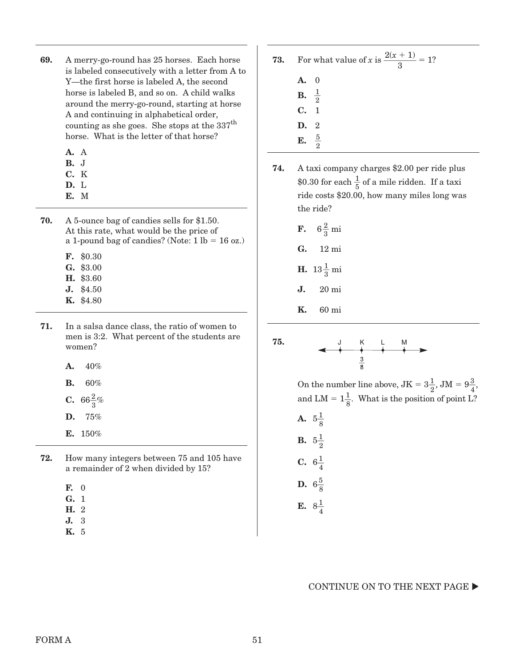- **69.** A merry-go-round has 25 horses. Each horse is labeled consecutively with a letter from A to Y—the first horse is labeled A, the second horse is labeled B, and so on. A child walks around the merry-go-round, starting at horse A and continuing in alphabetical order, counting as she goes. She stops at the 337<sup>th</sup> horse. What is the letter of that horse?
	- **A.** A
	- **B.** J
	- **C.** K **D.** L
	-
	- **E.** M
- **70.** A 5-ounce bag of candies sells for \$1.50. At this rate, what would be the price of a 1-pound bag of candies? (Note:  $1 \text{ lb} = 16 \text{ oz.}$ )
	- **F.** \$0.30
	- **G.** \$3.00
	- **H.** \$3.60
	- **J.** \$4.50
	- **K.** \$4.80
- **71.** In a salsa dance class, the ratio of women to men is 3:2. What percent of the students are women?
	- **A.** 40%
	- **B.** 60%
	- **C.**  $66\frac{2}{3}\%$
	- **D.** 75%
	- **E.** 150%
- **72.** How many integers between 75 and 105 have a remainder of 2 when divided by 15?
	- **F.** 0
	- **G.** 1
	- **H.** 2
	- **J.** 3
	- **K.** 5
- **73.** For what value of x is  $\frac{2(x + 1)}{3} = 1$ ? **A.** 0
	- **B.** \_\_1  $\frac{1}{2}$
	- **C.** 1
	- **D.** 2
	- **E.** \_\_5  $rac{5}{2}$
- **74.** A taxi company charges \$2.00 per ride plus \$0.30 for each  $\frac{1}{5}$  of a mile ridden. If a taxi ride costs \$20.00, how many miles long was the ride?
	- **F.**  $6\frac{2}{3}$  mi
	- **G.** 12 mi
	- **H.**  $13\frac{1}{3}$  mi
	- **J.** 20 mi
	- **K.** 60 mi



- On the number line above,  $JK = 3\frac{1}{2}$ ,  $JM = 9\frac{3}{4}$ , and LM =  $1\frac{1}{8}$ . What is the position of point L?
- **A.**  $5\frac{1}{8}$ **B.**  $5\frac{1}{2}$ **C.**  $6\frac{1}{4}$
- **D.**  $6\frac{5}{8}$
- **E.**  $8\frac{1}{4}$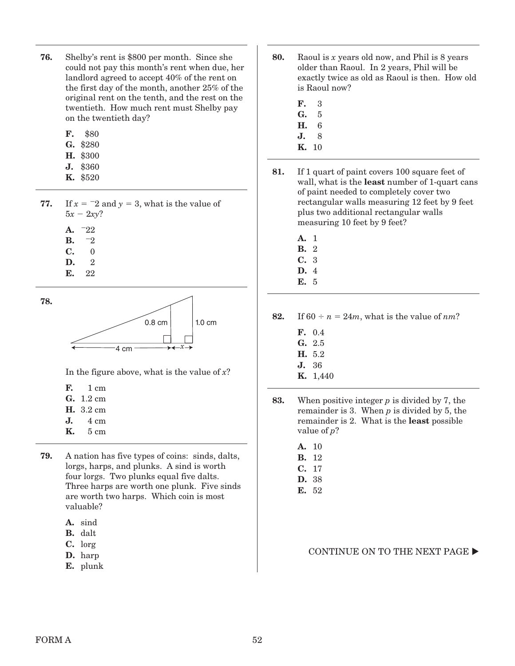- **76.** Shelby's rent is \$800 per month. Since she could not pay this month's rent when due, her landlord agreed to accept 40% of the rent on the first day of the month, another 25% of the original rent on the tenth, and the rest on the twentieth. How much rent must Shelby pay on the twentieth day?
	- **F.** \$80
	- **G.** \$280
	- **H.** \$300
	- **J.** \$360
	- **K.** \$520
- **77.** If  $x = -2$  and  $y = 3$ , what is the value of  $5x - 2xy$ ?
	- **A.** - $-22$
	- **B.** - $-2$
	- **C.** 0
	- **D.** 2
	- **E.** 22

**78.** 



In the figure above, what is the value of  $x$ ?

- **F.** 1 cm
- **G.** 1.2 cm
- **H.** 3.2 cm
- **J.** 4 cm
- **K.** 5 cm
- **79.** A nation has five types of coins: sinds, dalts, lorgs, harps, and plunks. A sind is worth four lorgs. Two plunks equal five dalts. Three harps are worth one plunk. Five sinds are worth two harps. Which coin is most valuable?
	- **A.** sind
	- **B.** dalt
	- **C.** lorg
	- **D.** harp
	- **E.** plunk
- **80.** Raoul is x years old now, and Phil is 8 years older than Raoul. In 2 years, Phil will be exactly twice as old as Raoul is then. How old is Raoul now?
	- **F.** 3
	- **G.** 5
	- **H.** 6
	- **J.** 8
	- **K.** 10
- **81.** If 1 quart of paint covers 100 square feet of wall, what is the **least** number of 1-quart cans of paint needed to completely cover two rectangular walls measuring 12 feet by 9 feet plus two additional rectangular walls measuring 10 feet by 9 feet?
	- **A.** 1 **B.** 2 **C.** 3
	- **D.** 4
	- **E.** 5

**82.** If  $60 \div n = 24m$ , what is the value of  $nm$ ?

- **F.** 0.4
- **G.** 2.5
- **H.** 5.2
- **J.** 36
- **K.** 1,440
- **83.** When positive integer p is divided by 7, the remainder is 3. When  $p$  is divided by 5, the remainder is 2. What is the **least** possible value of  $p$ ?
	- **A.** 10
	- **B.** 12
	- **C.** 17
	- **D.** 38
	- **E.** 52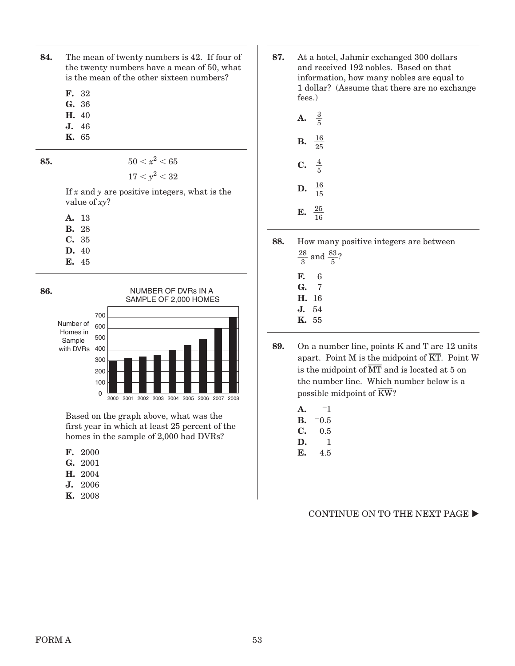**84.** The mean of twenty numbers is 42. If four of the twenty numbers have a mean of 50, what is the mean of the other sixteen numbers?

**F.** 32

- **G.** 36
- **H.** 40
- **J.** 46 **K.** 65

**85.**  $50 < x^2 < 65$ 

 $17 < y^2 < 32$ 

If  $x$  and  $y$  are positive integers, what is the value of xy?

**A.** 13

- **B.** 28
- **C.** 35
- **D.** 40
- **E.** 45



Based on the graph above, what was the first year in which at least 25 percent of the homes in the sample of 2,000 had DVRs?

- **F.** 2000
- **G.** 2001
- **H.** 2004
- **J.** 2006
- **K.** 2008

**87.** At a hotel, Jahmir exchanged 300 dollars and received 192 nobles. Based on that information, how many nobles are equal to 1 dollar? (Assume that there are no exchange fees.)

| P  | $\frac{3}{5}$   |
|----|-----------------|
| В. | $\frac{16}{25}$ |
| С. | $\frac{4}{5}$   |
| D. | $\frac{16}{15}$ |
| E. | $\frac{25}{16}$ |

- **88.** How many positive integers are between
	- $\frac{28}{3}$  and  $\frac{83}{5}$ ? **F.** 6 **G.** 7 **H.** 16 **J.** 54
	- **K.** 55
- **89.** On a number line, points K and T are 12 units On a number line, points **K** and **T** are **12** units apart. Point M is the midpoint of  $\overline{KT}$ . Point W  $\frac{1}{4}$  is the midpoint of  $\overline{MT}$  and is located at 5 on the number line. Which number below is a the number line. Which is<br>possible midpoint of  $\overline{\text{KW}}$ ?
	- **A.** - $-1$ **B.** - $-0.5$
	- **C.** 0.5
	- **D.** 1
	- **E.** 4.5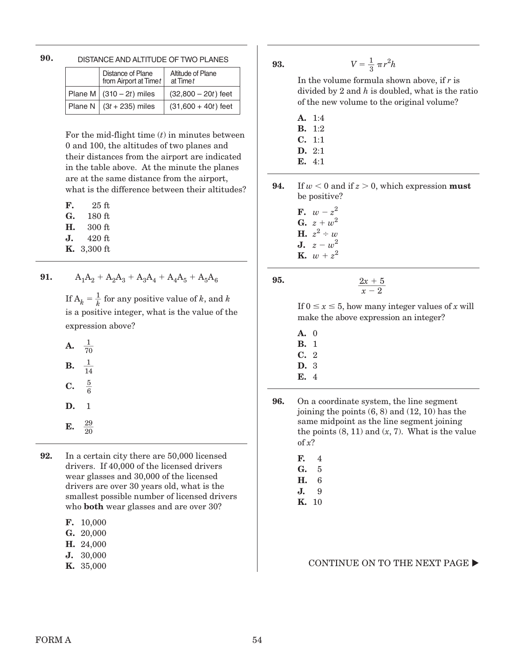| ٧                 |               |         |
|-------------------|---------------|---------|
| I<br>I<br>۰.<br>× | ۰,<br>۰.<br>v | ۰,<br>× |

DISTANCE AND ALTITUDE OF TWO PLANES

| Distance of Plane<br>from Airport at Time t | Altitude of Plane<br>at Time t |
|---------------------------------------------|--------------------------------|
| Plane M $(310 – 2t)$ miles                  | $(32,800 - 20t)$ feet          |
| Plane N $(3t + 235)$ miles                  | $(31,600 + 40t)$ feet          |

For the mid-flight time  $(t)$  in minutes between 0 and 100, the altitudes of two planes and their distances from the airport are indicated in the table above. At the minute the planes are at the same distance from the airport, what is the difference between their altitudes?

| F. | 25 ft  |
|----|--------|
| G. | 180 ft |
| Н. | 300 ft |
| J. | 420 ft |

**K.** 3,300 ft

**91.**  $A_1A_2 + A_2A_3 + A_3A_4 + A_4A_5 + A_5A_6$ 

If  $A_k = \frac{1}{k}$  $\frac{1}{k}$  for any positive value of k, and k is a positive integer, what is the value of the expression above?

|                         | <b>A.</b> $\frac{1}{70}$ |  |  |  |  |
|-------------------------|--------------------------|--|--|--|--|
|                         | <b>B.</b> $\frac{1}{14}$ |  |  |  |  |
| <b>C.</b> $\frac{5}{6}$ |                          |  |  |  |  |
| D. 1                    |                          |  |  |  |  |
| E.                      | $\frac{29}{20}$          |  |  |  |  |

**92.** In a certain city there are 50,000 licensed drivers. If 40,000 of the licensed drivers wear glasses and 30,000 of the licensed drivers are over 30 years old, what is the smallest possible number of licensed drivers who **both** wear glasses and are over 30?

| F. | $10{,}000$ |  |
|----|------------|--|
|----|------------|--|

| G. | 20,000 |
|----|--------|
|----|--------|

- **H.** 24,000
- **J.** 30,000
- **K.** 35,000

## **93.**  $V = \frac{1}{3} \pi r^2 h$

In the volume formula shown above, if  $r$  is divided by 2 and  $h$  is doubled, what is the ratio of the new volume to the original volume?

- **A.** 1:4
- **B.** 1:2
- **C.** 1:1
- **D.** 2:1
- **E.** 4:1

**94.** If  $w < 0$  and if  $z > 0$ , which expression **must** be positive?

- **F.**  $w-z^2$ **G.**  $z + w^2$ **H.**  $z^2 \div w$
- **J.**  $z w^2$ **K.**  $w + z^2$

**95. 95.**  $\frac{2x + 5}{2}$ 

 $\frac{2x+3}{x-2}$ 

If  $0 \le x \le 5$ , how many integer values of x will make the above expression an integer?

- **A.** 0
- **B.** 1
- **C.** 2
- **D.** 3 **E.** 4
- 
- **96.** On a coordinate system, the line segment joining the points (6, 8) and (12, 10) has the same midpoint as the line segment joining the points  $(8, 11)$  and  $(x, 7)$ . What is the value of  $x$ ?
	- **F.** 4
	- **G.** 5
	- **H.** 6 **J.** 9
	- **K.** 10